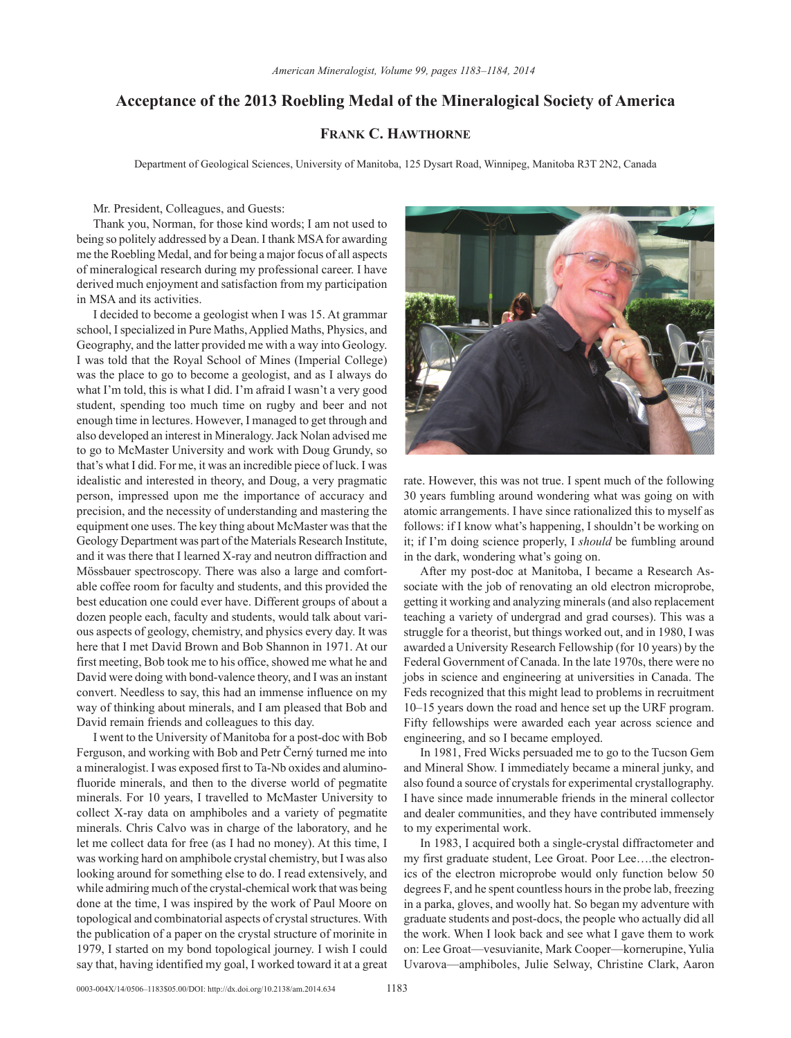## **Acceptance of the 2013 Roebling Medal of the Mineralogical Society of America**

## **Frank C. Hawthorne**

Department of Geological Sciences, University of Manitoba, 125 Dysart Road, Winnipeg, Manitoba R3T 2N2, Canada

Mr. President, Colleagues, and Guests:

Thank you, Norman, for those kind words; I am not used to being so politely addressed by a Dean. I thank MSA for awarding me the Roebling Medal, and for being a major focus of all aspects of mineralogical research during my professional career. I have derived much enjoyment and satisfaction from my participation in MSA and its activities.

I decided to become a geologist when I was 15. At grammar school, I specialized in Pure Maths, Applied Maths, Physics, and Geography, and the latter provided me with a way into Geology. I was told that the Royal School of Mines (Imperial College) was the place to go to become a geologist, and as I always do what I'm told, this is what I did. I'm afraid I wasn't a very good student, spending too much time on rugby and beer and not enough time in lectures. However, I managed to get through and also developed an interest in Mineralogy. Jack Nolan advised me to go to McMaster University and work with Doug Grundy, so that's what I did. For me, it was an incredible piece of luck. I was idealistic and interested in theory, and Doug, a very pragmatic person, impressed upon me the importance of accuracy and precision, and the necessity of understanding and mastering the equipment one uses. The key thing about McMaster was that the Geology Department was part of the Materials Research Institute, and it was there that I learned X-ray and neutron diffraction and Mössbauer spectroscopy. There was also a large and comfortable coffee room for faculty and students, and this provided the best education one could ever have. Different groups of about a dozen people each, faculty and students, would talk about various aspects of geology, chemistry, and physics every day. It was here that I met David Brown and Bob Shannon in 1971. At our first meeting, Bob took me to his office, showed me what he and David were doing with bond-valence theory, and I was an instant convert. Needless to say, this had an immense influence on my way of thinking about minerals, and I am pleased that Bob and David remain friends and colleagues to this day.

I went to the University of Manitoba for a post-doc with Bob Ferguson, and working with Bob and Petr Černý turned me into a mineralogist. I was exposed first to Ta-Nb oxides and aluminofluoride minerals, and then to the diverse world of pegmatite minerals. For 10 years, I travelled to McMaster University to collect X-ray data on amphiboles and a variety of pegmatite minerals. Chris Calvo was in charge of the laboratory, and he let me collect data for free (as I had no money). At this time, I was working hard on amphibole crystal chemistry, but I was also looking around for something else to do. I read extensively, and while admiring much of the crystal-chemical work that was being done at the time, I was inspired by the work of Paul Moore on topological and combinatorial aspects of crystal structures. With the publication of a paper on the crystal structure of morinite in 1979, I started on my bond topological journey. I wish I could say that, having identified my goal, I worked toward it at a great



rate. However, this was not true. I spent much of the following 30 years fumbling around wondering what was going on with atomic arrangements. I have since rationalized this to myself as follows: if I know what's happening, I shouldn't be working on it; if I'm doing science properly, I *should* be fumbling around in the dark, wondering what's going on.

After my post-doc at Manitoba, I became a Research Associate with the job of renovating an old electron microprobe, getting it working and analyzing minerals (and also replacement teaching a variety of undergrad and grad courses). This was a struggle for a theorist, but things worked out, and in 1980, I was awarded a University Research Fellowship (for 10 years) by the Federal Government of Canada. In the late 1970s, there were no jobs in science and engineering at universities in Canada. The Feds recognized that this might lead to problems in recruitment 10–15 years down the road and hence set up the URF program. Fifty fellowships were awarded each year across science and engineering, and so I became employed.

In 1981, Fred Wicks persuaded me to go to the Tucson Gem and Mineral Show. I immediately became a mineral junky, and also found a source of crystals for experimental crystallography. I have since made innumerable friends in the mineral collector and dealer communities, and they have contributed immensely to my experimental work.

In 1983, I acquired both a single-crystal diffractometer and my first graduate student, Lee Groat. Poor Lee….the electronics of the electron microprobe would only function below 50 degrees F, and he spent countless hours in the probe lab, freezing in a parka, gloves, and woolly hat. So began my adventure with graduate students and post-docs, the people who actually did all the work. When I look back and see what I gave them to work on: Lee Groat—vesuvianite, Mark Cooper—kornerupine, Yulia Uvarova—amphiboles, Julie Selway, Christine Clark, Aaron